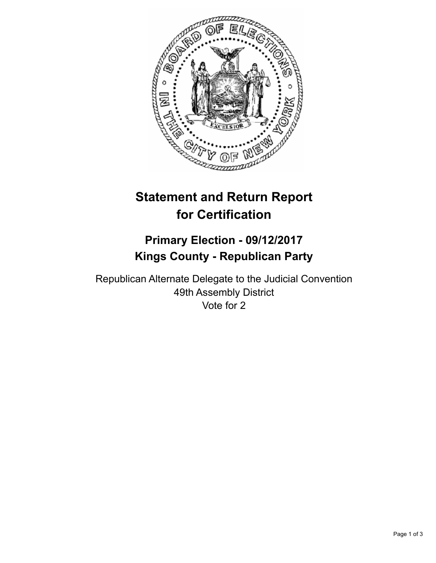

## **Statement and Return Report for Certification**

## **Primary Election - 09/12/2017 Kings County - Republican Party**

Republican Alternate Delegate to the Judicial Convention 49th Assembly District Vote for 2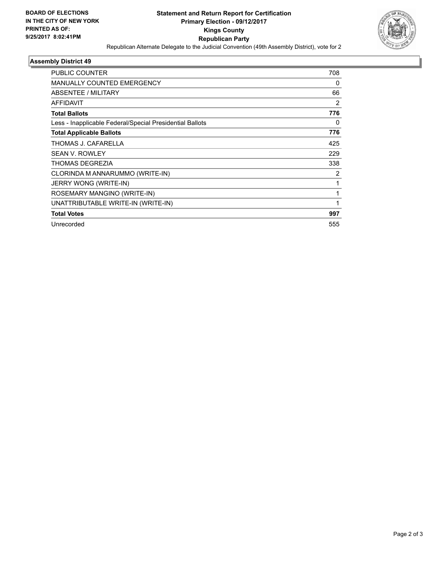

## **Assembly District 49**

| <b>PUBLIC COUNTER</b>                                    | 708 |
|----------------------------------------------------------|-----|
| <b>MANUALLY COUNTED EMERGENCY</b>                        | 0   |
| <b>ABSENTEE / MILITARY</b>                               | 66  |
| <b>AFFIDAVIT</b>                                         | 2   |
| <b>Total Ballots</b>                                     | 776 |
| Less - Inapplicable Federal/Special Presidential Ballots | 0   |
| <b>Total Applicable Ballots</b>                          | 776 |
| THOMAS J. CAFARELLA                                      | 425 |
| <b>SEAN V. ROWLEY</b>                                    | 229 |
| THOMAS DEGREZIA                                          | 338 |
| CLORINDA M ANNARUMMO (WRITE-IN)                          | 2   |
| JERRY WONG (WRITE-IN)                                    | 1   |
| ROSEMARY MANGINO (WRITE-IN)                              | 1   |
| UNATTRIBUTABLE WRITE-IN (WRITE-IN)                       |     |
| <b>Total Votes</b>                                       | 997 |
| Unrecorded                                               | 555 |